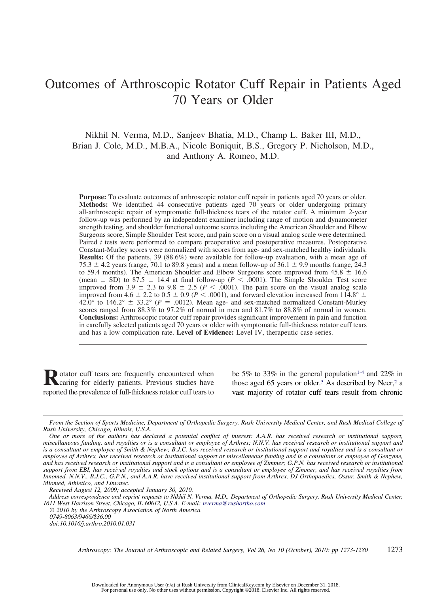# Outcomes of Arthroscopic Rotator Cuff Repair in Patients Aged 70 Years or Older

Nikhil N. Verma, M.D., Sanjeev Bhatia, M.D., Champ L. Baker III, M.D., Brian J. Cole, M.D., M.B.A., Nicole Boniquit, B.S., Gregory P. Nicholson, M.D., and Anthony A. Romeo, M.D.

**Purpose:** To evaluate outcomes of arthroscopic rotator cuff repair in patients aged 70 years or older. **Methods:** We identified 44 consecutive patients aged 70 years or older undergoing primary all-arthroscopic repair of symptomatic full-thickness tears of the rotator cuff. A minimum 2-year follow-up was performed by an independent examiner including range of motion and dynamometer strength testing, and shoulder functional outcome scores including the American Shoulder and Elbow Surgeons score, Simple Shoulder Test score, and pain score on a visual analog scale were determined. Paired *t* tests were performed to compare preoperative and postoperative measures. Postoperative Constant-Murley scores were normalized with scores from age- and sex-matched healthy individuals. **Results:** Of the patients, 39 (88.6%) were available for follow-up evaluation, with a mean age of 75.3  $\pm$  4.2 years (range, 70.1 to 89.8 years) and a mean follow-up of 36.1  $\pm$  9.9 months (range, 24.3 to 59.4 months). The American Shoulder and Elbow Surgeons score improved from  $45.8 \pm 16.6$ (mean  $\pm$  SD) to 87.5  $\pm$  14.4 at final follow-up ( $P < .0001$ ). The Simple Shoulder Test score improved from 3.9  $\pm$  2.3 to 9.8  $\pm$  2.5 ( $P < .0001$ ). The pain score on the visual analog scale improved from 4.6  $\pm$  2.2 to 0.5  $\pm$  0.9 (*P* < .0001), and forward elevation increased from 114.8°  $\pm$ 42.0° to 146.2°  $\pm$  33.2° ( $P = .0012$ ). Mean age- and sex-matched normalized Constant-Murley scores ranged from 88.3% to 97.2% of normal in men and 81.7% to 88.8% of normal in women. **Conclusions:** Arthroscopic rotator cuff repair provides significant improvement in pain and function in carefully selected patients aged 70 years or older with symptomatic full-thickness rotator cuff tears and has a low complication rate. **Level of Evidence:** Level IV, therapeutic case series.

**R**otator cuff tears are frequently encountered when<br>caring for elderly patients. Previous studies have reported the prevalence of full-thickness rotator cuff tears to

be 5% to 33% in the general population<sup>1-4</sup> and 22% in those aged 65 years or older.<sup>5</sup> As described by Neer,<sup>2</sup> a vast majority of rotator cuff tears result from chronic

*Arthroscopy: The Journal of Arthroscopic and Related Surgery, Vol 26, No 10 (October), 2010: pp 1273-1280* 1273

*From the Section of Sports Medicine, Department of Orthopedic Surgery, Rush University Medical Center, and Rush Medical College of Rush University, Chicago, Illinois, U.S.A.*

*One or more of the authors has declared a potential conflict of interest: A.A.R. has received research or institutional support, miscellaneous funding, and royalties or is a consultant or employee of Arthrex; N.N.V. has received research or institutional support and is a consultant or employee of Smith & Nephew; B.J.C. has received research or institutional support and royalties and is a consultant or employee of Arthrex, has received research or institutional support or miscellaneous funding and is a consultant or employee of Genzyme, and has received research or institutional support and is a consultant or employee of Zimmer; G.P.N. has received research or institutional support from EBI, has received royalties and stock options and is a consultant or employee of Zimmer, and has received royalties from Innomed. N.N.V., B.J.C., G.P.N., and A.A.R. have received institutional support from Arthrex, DJ Orthopaedics, Ossur, Smith & Nephew, Miomed, Athletico, and Linvatec.*

*Received August 12, 2009; accepted January 30, 2010.*

*Address correspondence and reprint requests to Nikhil N. Verma, M.D., Department of Orthopedic Surgery, Rush University Medical Center, 1611 West Harrison Street, Chicago, IL 60612, U.S.A. E-mail: nverma@rushortho.com*

*<sup>© 2010</sup> by the Arthroscopy Association of North America 0749-8063/9466/\$36.00*

*doi:10.1016/j.arthro.2010.01.031*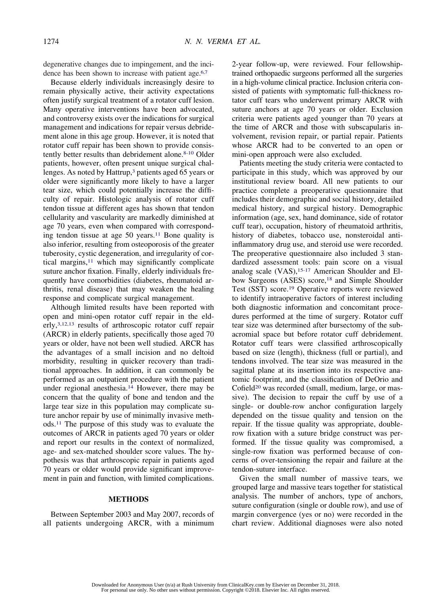degenerative changes due to impingement, and the incidence has been shown to increase with patient age.<sup>6,7</sup>

Because elderly individuals increasingly desire to remain physically active, their activity expectations often justify surgical treatment of a rotator cuff lesion. Many operative interventions have been advocated, and controversy exists over the indications for surgical management and indications for repair versus debridement alone in this age group. However, it is noted that rotator cuff repair has been shown to provide consistently better results than debridement alone.<sup>8-10</sup> Older patients, however, often present unique surgical challenges. As noted by Hattrup,3 patients aged 65 years or older were significantly more likely to have a larger tear size, which could potentially increase the difficulty of repair. Histologic analysis of rotator cuff tendon tissue at different ages has shown that tendon cellularity and vascularity are markedly diminished at age 70 years, even when compared with corresponding tendon tissue at age 50 years.11 Bone quality is also inferior, resulting from osteoporosis of the greater tuberosity, cystic degeneration, and irregularity of cortical margins, $11$  which may significantly complicate suture anchor fixation. Finally, elderly individuals frequently have comorbidities (diabetes, rheumatoid arthritis, renal disease) that may weaken the healing response and complicate surgical management.

Although limited results have been reported with open and mini-open rotator cuff repair in the elderly,3,12,13 results of arthroscopic rotator cuff repair (ARCR) in elderly patients, specifically those aged 70 years or older, have not been well studied. ARCR has the advantages of a small incision and no deltoid morbidity, resulting in quicker recovery than traditional approaches. In addition, it can commonly be performed as an outpatient procedure with the patient under regional anesthesia.14 However, there may be concern that the quality of bone and tendon and the large tear size in this population may complicate suture anchor repair by use of minimally invasive methods.11 The purpose of this study was to evaluate the outcomes of ARCR in patients aged 70 years or older and report our results in the context of normalized, age- and sex-matched shoulder score values. The hypothesis was that arthroscopic repair in patients aged 70 years or older would provide significant improvement in pain and function, with limited complications.

# **METHODS**

Between September 2003 and May 2007, records of all patients undergoing ARCR, with a minimum

2-year follow-up, were reviewed. Four fellowshiptrained orthopaedic surgeons performed all the surgeries in a high-volume clinical practice. Inclusion criteria consisted of patients with symptomatic full-thickness rotator cuff tears who underwent primary ARCR with suture anchors at age 70 years or older. Exclusion criteria were patients aged younger than 70 years at the time of ARCR and those with subscapularis involvement, revision repair, or partial repair. Patients whose ARCR had to be converted to an open or mini-open approach were also excluded.

Patients meeting the study criteria were contacted to participate in this study, which was approved by our institutional review board. All new patients to our practice complete a preoperative questionnaire that includes their demographic and social history, detailed medical history, and surgical history. Demographic information (age, sex, hand dominance, side of rotator cuff tear), occupation, history of rheumatoid arthritis, history of diabetes, tobacco use, nonsteroidal antiinflammatory drug use, and steroid use were recorded. The preoperative questionnaire also included 3 standardized assessment tools: pain score on a visual analog scale  $(VAS)$ , <sup>15-17</sup> American Shoulder and Elbow Surgeons (ASES) score,<sup>18</sup> and Simple Shoulder Test (SST) score.19 Operative reports were reviewed to identify intraoperative factors of interest including both diagnostic information and concomitant procedures performed at the time of surgery. Rotator cuff tear size was determined after bursectomy of the subacromial space but before rotator cuff debridement. Rotator cuff tears were classified arthroscopically based on size (length), thickness (full or partial), and tendons involved. The tear size was measured in the sagittal plane at its insertion into its respective anatomic footprint, and the classification of DeOrio and Cofield<sup>20</sup> was recorded (small, medium, large, or massive). The decision to repair the cuff by use of a single- or double-row anchor configuration largely depended on the tissue quality and tension on the repair. If the tissue quality was appropriate, doublerow fixation with a suture bridge construct was performed. If the tissue quality was compromised, a single-row fixation was performed because of concerns of over-tensioning the repair and failure at the tendon-suture interface.

Given the small number of massive tears, we grouped large and massive tears together for statistical analysis. The number of anchors, type of anchors, suture configuration (single or double row), and use of margin convergence (yes or no) were recorded in the chart review. Additional diagnoses were also noted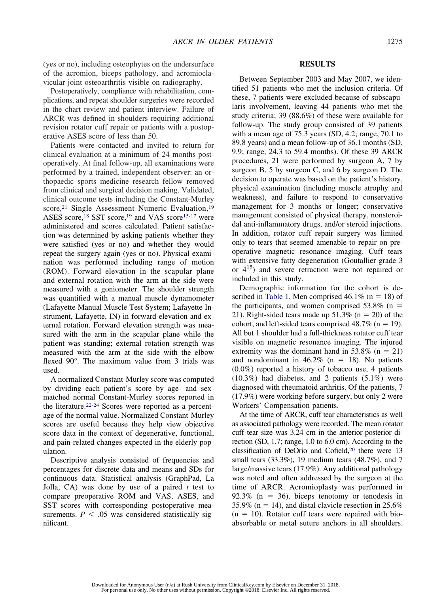(yes or no), including osteophytes on the undersurface of the acromion, biceps pathology, and acromioclavicular joint osteoarthritis visible on radiography.

Postoperatively, compliance with rehabilitation, complications, and repeat shoulder surgeries were recorded in the chart review and patient interview. Failure of ARCR was defined in shoulders requiring additional revision rotator cuff repair or patients with a postoperative ASES score of less than 50.

Patients were contacted and invited to return for clinical evaluation at a minimum of 24 months postoperatively. At final follow-up, all examinations were performed by a trained, independent observer: an orthopaedic sports medicine research fellow removed from clinical and surgical decision making. Validated, clinical outcome tests including the Constant-Murley score,<sup>21</sup> Single Assessment Numeric Evaluation,<sup>19</sup> ASES score,<sup>18</sup> SST score,<sup>19</sup> and VAS score<sup>15-17</sup> were administered and scores calculated. Patient satisfaction was determined by asking patients whether they were satisfied (yes or no) and whether they would repeat the surgery again (yes or no). Physical examination was performed including range of motion (ROM). Forward elevation in the scapular plane and external rotation with the arm at the side were measured with a goniometer. The shoulder strength was quantified with a manual muscle dynamometer (Lafayette Manual Muscle Test System; Lafayette Instrument, Lafayette, IN) in forward elevation and external rotation. Forward elevation strength was measured with the arm in the scapular plane while the patient was standing; external rotation strength was measured with the arm at the side with the elbow flexed 90°. The maximum value from 3 trials was used.

A normalized Constant-Murley score was computed by dividing each patient's score by age- and sexmatched normal Constant-Murley scores reported in the literature.22-24 Scores were reported as a percentage of the normal value. Normalized Constant-Murley scores are useful because they help view objective score data in the context of degenerative, functional, and pain-related changes expected in the elderly population.

Descriptive analysis consisted of frequencies and percentages for discrete data and means and SDs for continuous data. Statistical analysis (GraphPad, La Jolla, CA) was done by use of a paired *t* test to compare preoperative ROM and VAS, ASES, and SST scores with corresponding postoperative measurements.  $P < .05$  was considered statistically significant.

## **RESULTS**

Between September 2003 and May 2007, we identified 51 patients who met the inclusion criteria. Of these, 7 patients were excluded because of subscapularis involvement, leaving 44 patients who met the study criteria; 39 (88.6%) of these were available for follow-up. The study group consisted of 39 patients with a mean age of 75.3 years (SD, 4.2; range, 70.1 to 89.8 years) and a mean follow-up of 36.1 months (SD, 9.9; range, 24.3 to 59.4 months). Of these 39 ARCR procedures, 21 were performed by surgeon A, 7 by surgeon B, 5 by surgeon C, and 6 by surgeon D. The decision to operate was based on the patient's history, physical examination (including muscle atrophy and weakness), and failure to respond to conservative management for 3 months or longer; conservative management consisted of physical therapy, nonsteroidal anti-inflammatory drugs, and/or steroid injections. In addition, rotator cuff repair surgery was limited only to tears that seemed amenable to repair on preoperative magnetic resonance imaging. Cuff tears with extensive fatty degeneration (Goutallier grade 3) or  $4^{15}$ ) and severe retraction were not repaired or included in this study.

Demographic information for the cohort is described in Table 1. Men comprised  $46.1\%$  (n = 18) of the participants, and women comprised  $53.8\%$  (n = 21). Right-sided tears made up  $51.3\%$  (n = 20) of the cohort, and left-sided tears comprised  $48.7\%$  (n = 19). All but 1 shoulder had a full-thickness rotator cuff tear visible on magnetic resonance imaging. The injured extremity was the dominant hand in 53.8% ( $n = 21$ ) and nondominant in  $46.2\%$  (n = 18). No patients (0.0%) reported a history of tobacco use, 4 patients (10.3%) had diabetes, and 2 patients (5.1%) were diagnosed with rheumatoid arthritis. Of the patients, 7 (17.9%) were working before surgery, but only 2 were Workers' Compensation patients.

At the time of ARCR, cuff tear characteristics as well as associated pathology were recorded. The mean rotator cuff tear size was 3.24 cm in the anterior-posterior direction (SD, 1.7; range, 1.0 to 6.0 cm). According to the classification of DeOrio and Cofield,20 there were 13 small tears (33.3%), 19 medium tears (48.7%), and 7 large/massive tears (17.9%). Any additional pathology was noted and often addressed by the surgeon at the time of ARCR. Acromioplasty was performed in  $92.3\%$  (n = 36), biceps tenotomy or tenodesis in 35.9% ( $n = 14$ ), and distal clavicle resection in 25.6%  $(n = 10)$ . Rotator cuff tears were repaired with bioabsorbable or metal suture anchors in all shoulders.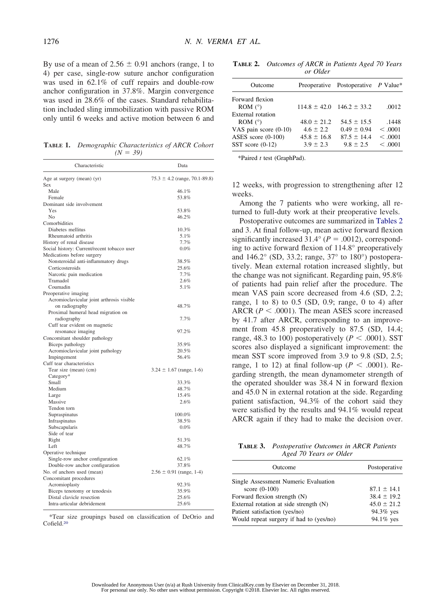By use of a mean of  $2.56 \pm 0.91$  anchors (range, 1 to 4) per case, single-row suture anchor configuration was used in 62.1% of cuff repairs and double-row anchor configuration in 37.8%. Margin convergence was used in 28.6% of the cases. Standard rehabilitation included sling immobilization with passive ROM only until 6 weeks and active motion between 6 and

**TABLE 1.** *Demographic Characteristics of ARCR Cohort*  $(N = 39)$ 

| Characteristic                                                    | Data                              |  |
|-------------------------------------------------------------------|-----------------------------------|--|
| Age at surgery (mean) (yr)<br>Sex                                 | $75.3 \pm 4.2$ (range, 70.1-89.8) |  |
| Male                                                              | 46.1%                             |  |
| Female                                                            | 53.8%                             |  |
| Dominant side involvement                                         |                                   |  |
| Yes                                                               | 53.8%                             |  |
| N <sub>0</sub>                                                    | 46.2%                             |  |
| Comorbidities                                                     |                                   |  |
| Diabetes mellitus                                                 | 10.3%                             |  |
| Rheumatoid arthritis                                              | 5.1%                              |  |
| History of renal disease                                          | 7.7%                              |  |
| Social history: Current/recent tobacco user                       | 0.0%                              |  |
| Medications before surgery                                        |                                   |  |
| Nonsteroidal anti-inflammatory drugs                              | 38.5%                             |  |
| Corticosteroids                                                   | 25.6%                             |  |
| Narcotic pain medication                                          | 7.7%                              |  |
| Tramadol                                                          | 2.6%                              |  |
| Coumadin                                                          | 5.1%                              |  |
| Preoperative imaging<br>Acromioclavicular joint arthrosis visible |                                   |  |
| on radiography                                                    | 48.7%                             |  |
| Proximal humeral head migration on                                |                                   |  |
| radiography                                                       | 7.7%                              |  |
| Cuff tear evident on magnetic                                     |                                   |  |
| resonance imaging                                                 | 97.2%                             |  |
| Concomitant shoulder pathology                                    |                                   |  |
| Biceps pathology                                                  | 35.9%                             |  |
| Acromioclavicular joint pathology                                 | 20.5%                             |  |
| Impingement                                                       | 56.4%                             |  |
| Cuff tear characteristics                                         |                                   |  |
| Tear size (mean) (cm)                                             | $3.24 \pm 1.67$ (range, 1-6)      |  |
| Category*                                                         |                                   |  |
| Small                                                             | 33.3%                             |  |
| Medium                                                            | 48.7%                             |  |
| Large                                                             | 15.4%                             |  |
| Massive                                                           | 2.6%                              |  |
| Tendon torn                                                       |                                   |  |
| Supraspinatus                                                     | 100.0%                            |  |
| Infraspinatus                                                     | 38.5%                             |  |
| Subscapularis                                                     | $0.0\%$                           |  |
| Side of tear                                                      |                                   |  |
| Right                                                             | 51.3%                             |  |
| Left                                                              | 48.7%                             |  |
| Operative technique                                               |                                   |  |
| Single-row anchor configuration                                   | 62.1%                             |  |
| Double-row anchor configuration                                   | 37.8%                             |  |
| No. of anchors used (mean)                                        | $2.56 \pm 0.91$ (range, 1-4)      |  |
| Concomitant procedures                                            |                                   |  |
| Acromioplasty                                                     | 92.3%                             |  |
| Biceps tenotomy or tenodesis                                      | 35.9%                             |  |
| Distal clavicle resection                                         | 25.6%                             |  |
| Intra-articular debridement                                       | 25.6%                             |  |

\*Tear size groupings based on classification of DeOrio and Cofield.20

**TABLE 2.** *Outcomes of ARCR in Patients Aged 70 Years or Older*

| Outcome                  |                 | Preoperative Postoperative P Value* |         |
|--------------------------|-----------------|-------------------------------------|---------|
| Forward flexion          |                 |                                     |         |
| ROM $(°)$                |                 | $114.8 \pm 42.0$ $146.2 \pm 33.2$   | .0012   |
| <b>External</b> rotation |                 |                                     |         |
| ROM $(°)$                | $48.0 \pm 21.2$ | $54.5 \pm 15.5$                     | .1448   |
| VAS pain score $(0-10)$  | $4.6 \pm 2.2$   | $0.49 \pm 0.94$                     | < 0.001 |
| ASES score $(0-100)$     | $45.8 \pm 16.8$ | $87.5 \pm 14.4$                     | < 0.001 |
| SST score $(0-12)$       | $3.9 \pm 2.3$   | $9.8 \pm 2.5$                       | < 0.001 |
|                          |                 |                                     |         |

\*Paired *t* test (GraphPad).

12 weeks, with progression to strengthening after 12 weeks.

Among the 7 patients who were working, all returned to full-duty work at their preoperative levels.

Postoperative outcomes are summarized in Tables 2 and 3. At final follow-up, mean active forward flexion significantly increased  $31.4^{\circ}$  ( $P = .0012$ ), corresponding to active forward flexion of 114.8° preoperatively and 146.2° (SD, 33.2; range, 37° to 180°) postoperatively. Mean external rotation increased slightly, but the change was not significant. Regarding pain, 95.8% of patients had pain relief after the procedure. The mean VAS pain score decreased from 4.6 (SD, 2.2; range, 1 to 8) to 0.5 (SD, 0.9; range, 0 to 4) after ARCR  $(P < .0001)$ . The mean ASES score increased by 41.7 after ARCR, corresponding to an improvement from 45.8 preoperatively to 87.5 (SD, 14.4; range, 48.3 to 100) postoperatively ( $P < .0001$ ). SST scores also displayed a significant improvement: the mean SST score improved from 3.9 to 9.8 (SD, 2.5; range, 1 to 12) at final follow-up ( $P < .0001$ ). Regarding strength, the mean dynamometer strength of the operated shoulder was 38.4 N in forward flexion and 45.0 N in external rotation at the side. Regarding patient satisfaction, 94.3% of the cohort said they were satisfied by the results and 94.1% would repeat ARCR again if they had to make the decision over.

| <b>TABLE 3.</b> Postoperative Outcomes in ARCR Patients |
|---------------------------------------------------------|
| Aged 70 Years or Older                                  |

| Outcome                                 | Postoperative   |
|-----------------------------------------|-----------------|
| Single Assessment Numeric Evaluation    |                 |
| score $(0-100)$                         | $87.1 \pm 14.1$ |
| Forward flexion strength (N)            | $38.4 \pm 19.2$ |
| External rotation at side strength (N)  | $45.0 \pm 21.2$ |
| Patient satisfaction (yes/no)           | 94.3% yes       |
| Would repeat surgery if had to (yes/no) | 94.1% yes       |
|                                         |                 |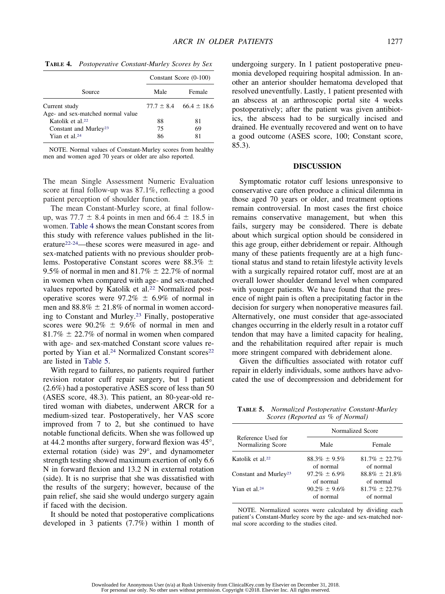|                                                    | Constant Score (0-100) |                                |
|----------------------------------------------------|------------------------|--------------------------------|
| Source                                             | Male                   | Female                         |
| Current study<br>Age- and sex-matched normal value |                        | $77.7 \pm 8.4$ 66.4 $\pm$ 18.6 |
| Katolik et al. $22$                                | 88                     | 81                             |
| Constant and Murley <sup>23</sup>                  | 75                     | 69                             |
| Yian et al. <sup>24</sup>                          | 86                     | 81                             |

**TABLE 4.** *Postoperative Constant-Murley Scores by Sex*

NOTE. Normal values of Constant-Murley scores from healthy men and women aged 70 years or older are also reported.

The mean Single Assessment Numeric Evaluation score at final follow-up was 87.1%, reflecting a good patient perception of shoulder function.

The mean Constant-Murley score, at final followup, was  $77.7 \pm 8.4$  points in men and  $66.4 \pm 18.5$  in women. Table 4 shows the mean Constant scores from this study with reference values published in the literature22-24—these scores were measured in age- and sex-matched patients with no previous shoulder problems. Postoperative Constant scores were  $88.3\% \pm$ 9.5% of normal in men and  $81.7\% \pm 22.7\%$  of normal in women when compared with age- and sex-matched values reported by Katolik et al.22 Normalized postoperative scores were  $97.2\% \pm 6.9\%$  of normal in men and  $88.8\% \pm 21.8\%$  of normal in women according to Constant and Murley.23 Finally, postoperative scores were  $90.2\% \pm 9.6\%$  of normal in men and  $81.7\% \pm 22.7\%$  of normal in women when compared with age- and sex-matched Constant score values reported by Yian et al.<sup>24</sup> Normalized Constant scores<sup>22</sup> are listed in Table 5.

With regard to failures, no patients required further revision rotator cuff repair surgery, but 1 patient (2.6%) had a postoperative ASES score of less than 50 (ASES score, 48.3). This patient, an 80-year-old retired woman with diabetes, underwent ARCR for a medium-sized tear. Postoperatively, her VAS score improved from 7 to 2, but she continued to have notable functional deficits. When she was followed up at 44.2 months after surgery, forward flexion was 45°, external rotation (side) was 29°, and dynamometer strength testing showed maximum exertion of only 6.6 N in forward flexion and 13.2 N in external rotation (side). It is no surprise that she was dissatisfied with the results of the surgery; however, because of the pain relief, she said she would undergo surgery again if faced with the decision.

It should be noted that postoperative complications developed in 3 patients (7.7%) within 1 month of undergoing surgery. In 1 patient postoperative pneumonia developed requiring hospital admission. In another an anterior shoulder hematoma developed that resolved uneventfully. Lastly, 1 patient presented with an abscess at an arthroscopic portal site 4 weeks postoperatively; after the patient was given antibiotics, the abscess had to be surgically incised and drained. He eventually recovered and went on to have a good outcome (ASES score, 100; Constant score, 85.3).

#### **DISCUSSION**

Symptomatic rotator cuff lesions unresponsive to conservative care often produce a clinical dilemma in those aged 70 years or older, and treatment options remain controversial. In most cases the first choice remains conservative management, but when this fails, surgery may be considered. There is debate about which surgical option should be considered in this age group, either debridement or repair. Although many of these patients frequently are at a high functional status and stand to retain lifestyle activity levels with a surgically repaired rotator cuff, most are at an overall lower shoulder demand level when compared with younger patients. We have found that the presence of night pain is often a precipitating factor in the decision for surgery when nonoperative measures fail. Alternatively, one must consider that age-associated changes occurring in the elderly result in a rotator cuff tendon that may have a limited capacity for healing, and the rehabilitation required after repair is much more stringent compared with debridement alone.

Given the difficulties associated with rotator cuff repair in elderly individuals, some authors have advocated the use of decompression and debridement for

**TABLE 5.** *Normalized Postoperative Constant-Murley Scores (Reported as % of Normal)*

|                                         | Normalized Score                |                                  |
|-----------------------------------------|---------------------------------|----------------------------------|
| Reference Used for<br>Normalizing Score | Male                            | Female                           |
| Katolik et al. <sup>22</sup>            | $88.3\% \pm 9.5\%$<br>of normal | $81.7\% \pm 22.7\%$<br>of normal |
| Constant and Murley <sup>23</sup>       | $97.2\% + 6.9\%$<br>of normal   | $88.8\% \pm 21.8\%$<br>of normal |
| Yian et al. <sup>24</sup>               | $90.2\% \pm 9.6\%$<br>of normal | $81.7\% \pm 22.7\%$<br>of normal |

NOTE. Normalized scores were calculated by dividing each patient's Constant-Murley score by the age- and sex-matched normal score according to the studies cited.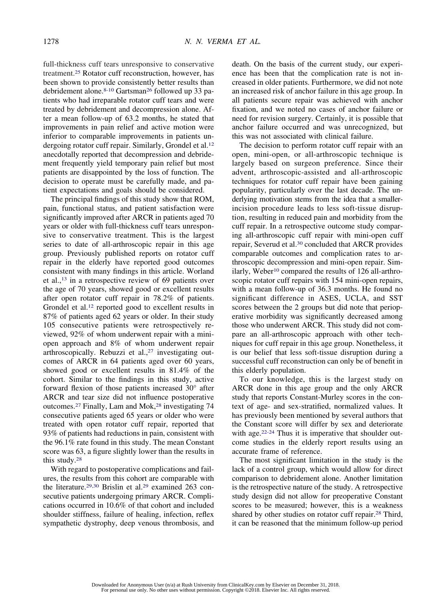full-thickness cuff tears unresponsive to conservative treatment.25 Rotator cuff reconstruction, however, has been shown to provide consistently better results than debridement alone.8-10 Gartsman26 followed up 33 patients who had irreparable rotator cuff tears and were treated by debridement and decompression alone. After a mean follow-up of 63.2 months, he stated that improvements in pain relief and active motion were inferior to comparable improvements in patients undergoing rotator cuff repair. Similarly, Grondel et al.<sup>12</sup> anecdotally reported that decompression and debridement frequently yield temporary pain relief but most patients are disappointed by the loss of function. The decision to operate must be carefully made, and patient expectations and goals should be considered.

The principal findings of this study show that ROM, pain, functional status, and patient satisfaction were significantly improved after ARCR in patients aged 70 years or older with full-thickness cuff tears unresponsive to conservative treatment. This is the largest series to date of all-arthroscopic repair in this age group. Previously published reports on rotator cuff repair in the elderly have reported good outcomes consistent with many findings in this article. Worland et al.,13 in a retrospective review of 69 patients over the age of 70 years, showed good or excellent results after open rotator cuff repair in 78.2% of patients. Grondel et al.<sup>12</sup> reported good to excellent results in 87% of patients aged 62 years or older. In their study 105 consecutive patients were retrospectively reviewed, 92% of whom underwent repair with a miniopen approach and 8% of whom underwent repair arthroscopically. Rebuzzi et al.,<sup>27</sup> investigating outcomes of ARCR in 64 patients aged over 60 years, showed good or excellent results in 81.4% of the cohort. Similar to the findings in this study, active forward flexion of those patients increased 30° after ARCR and tear size did not influence postoperative outcomes.<sup>27</sup> Finally, Lam and Mok,<sup>28</sup> investigating 74 consecutive patients aged 65 years or older who were treated with open rotator cuff repair, reported that 93% of patients had reductions in pain, consistent with the 96.1% rate found in this study. The mean Constant score was 63, a figure slightly lower than the results in this study.28

With regard to postoperative complications and failures, the results from this cohort are comparable with the literature.29,30 Brislin et al.29 examined 263 consecutive patients undergoing primary ARCR. Complications occurred in 10.6% of that cohort and included shoulder stiffness, failure of healing, infection, reflex sympathetic dystrophy, deep venous thrombosis, and death. On the basis of the current study, our experience has been that the complication rate is not increased in older patients. Furthermore, we did not note an increased risk of anchor failure in this age group. In all patients secure repair was achieved with anchor fixation, and we noted no cases of anchor failure or need for revision surgery. Certainly, it is possible that anchor failure occurred and was unrecognized, but this was not associated with clinical failure.

The decision to perform rotator cuff repair with an open, mini-open, or all-arthroscopic technique is largely based on surgeon preference. Since their advent, arthroscopic-assisted and all-arthroscopic techniques for rotator cuff repair have been gaining popularity, particularly over the last decade. The underlying motivation stems from the idea that a smallerincision procedure leads to less soft-tissue disruption, resulting in reduced pain and morbidity from the cuff repair. In a retrospective outcome study comparing all-arthroscopic cuff repair with mini-open cuff repair, Severud et al.30 concluded that ARCR provides comparable outcomes and complication rates to arthroscopic decompression and mini-open repair. Similarly, Weber<sup>10</sup> compared the results of 126 all-arthroscopic rotator cuff repairs with 154 mini-open repairs, with a mean follow-up of 36.3 months. He found no significant difference in ASES, UCLA, and SST scores between the 2 groups but did note that perioperative morbidity was significantly decreased among those who underwent ARCR. This study did not compare an all-arthroscopic approach with other techniques for cuff repair in this age group. Nonetheless, it is our belief that less soft-tissue disruption during a successful cuff reconstruction can only be of benefit in this elderly population.

To our knowledge, this is the largest study on ARCR done in this age group and the only ARCR study that reports Constant-Murley scores in the context of age- and sex-stratified, normalized values. It has previously been mentioned by several authors that the Constant score will differ by sex and deteriorate with age.<sup>22-24</sup> Thus it is imperative that shoulder outcome studies in the elderly report results using an accurate frame of reference.

The most significant limitation in the study is the lack of a control group, which would allow for direct comparison to debridement alone. Another limitation is the retrospective nature of the study. A retrospective study design did not allow for preoperative Constant scores to be measured; however, this is a weakness shared by other studies on rotator cuff repair.<sup>28</sup> Third, it can be reasoned that the minimum follow-up period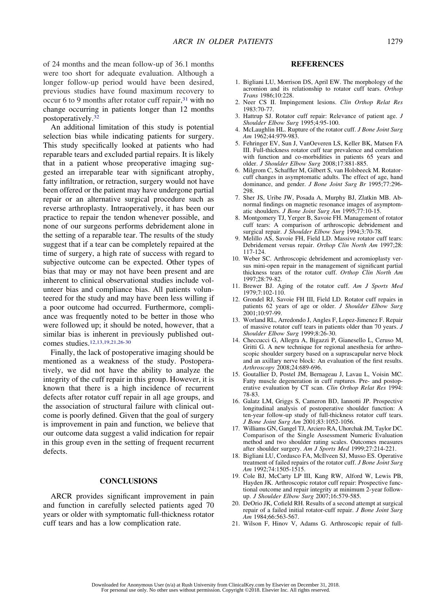of 24 months and the mean follow-up of 36.1 months were too short for adequate evaluation. Although a longer follow-up period would have been desired, previous studies have found maximum recovery to occur 6 to 9 months after rotator cuff repair,<sup>31</sup> with no change occurring in patients longer than 12 months postoperatively.32

An additional limitation of this study is potential selection bias while indicating patients for surgery. This study specifically looked at patients who had reparable tears and excluded partial repairs. It is likely that in a patient whose preoperative imaging suggested an irreparable tear with significant atrophy, fatty infiltration, or retraction, surgery would not have been offered or the patient may have undergone partial repair or an alternative surgical procedure such as reverse arthroplasty. Intraoperatively, it has been our practice to repair the tendon whenever possible, and none of our surgeons performs debridement alone in the setting of a reparable tear. The results of the study suggest that if a tear can be completely repaired at the time of surgery, a high rate of success with regard to subjective outcome can be expected. Other types of bias that may or may not have been present and are inherent to clinical observational studies include volunteer bias and compliance bias. All patients volunteered for the study and may have been less willing if a poor outcome had occurred. Furthermore, compliance was frequently noted to be better in those who were followed up; it should be noted, however, that a similar bias is inherent in previously published outcomes studies.12,13,19,21,26-30

Finally, the lack of postoperative imaging should be mentioned as a weakness of the study. Postoperatively, we did not have the ability to analyze the integrity of the cuff repair in this group. However, it is known that there is a high incidence of recurrent defects after rotator cuff repair in all age groups, and the association of structural failure with clinical outcome is poorly defined. Given that the goal of surgery is improvement in pain and function, we believe that our outcome data suggest a valid indication for repair in this group even in the setting of frequent recurrent defects.

## **CONCLUSIONS**

ARCR provides significant improvement in pain and function in carefully selected patients aged 70 years or older with symptomatic full-thickness rotator cuff tears and has a low complication rate.

# **REFERENCES**

- 1. Bigliani LU, Morrison DS, April EW. The morphology of the acromion and its relationship to rotator cuff tears. *Orthop Trans* 1986;10:228.
- 2. Neer CS II. Impingement lesions. *Clin Orthop Relat Res* 1983:70-77.
- 3. Hattrup SJ. Rotator cuff repair: Relevance of patient age. *J Shoulder Elbow Surg* 1995;4:95-100.
- 4. McLaughlin HL. Rupture of the rotator cuff. *J Bone Joint Surg Am* 1962;44:979-983.
- 5. Fehringer EV, Sun J, VanOeveren LS, Keller BK, Matsen FA III. Full-thickness rotator cuff tear prevalence and correlation with function and co-morbidities in patients 65 years and older. *J Shoulder Elbow Surg* 2008;17:881-885.
- 6. Milgrom C, Schaffler M, Gilbert S, van Holsbeeck M. Rotatorcuff changes in asymptomatic adults. The effect of age, hand dominance, and gender. *J Bone Joint Surg Br* 1995;77:296- 298.
- 7. Sher JS, Uribe JW, Posada A, Murphy BJ, Zlatkin MB. Abnormal findings on magnetic resonance images of asymptomatic shoulders. *J Bone Joint Surg Am* 1995;77:10-15.
- 8. Montgomery TJ, Yerger B, Savoie FH. Management of rotator cuff tears: A comparison of arthroscopic debridement and surgical repair. *J Shoulder Elbow Surg* 1994;3:70-78.
- 9. Melillo AS, Savoie FH, Field LD. Massive rotator cuff tears: Debridement versus repair. *Orthop Clin North Am* 1997;28: 117-124.
- 10. Weber SC. Arthroscopic debridement and acromioplasty versus mini-open repair in the management of significant partial thickness tears of the rotator cuff. *Orthop Clin North Am* 1997;28:79-82.
- 11. Brewer BJ. Aging of the rotator cuff. *Am J Sports Med* 1979;7:102-110.
- 12. Grondel RJ, Savoie FH III, Field LD. Rotator cuff repairs in patients 62 years of age or older. *J Shoulder Elbow Surg* 2001;10:97-99.
- 13. Worland RL, Arredondo J, Angles F, Lopez-Jimenez F. Repair of massive rotator cuff tears in patients older than 70 years. *J Shoulder Elbow Surg* 1999;8:26-30.
- 14. Checcucci G, Allegra A, Bigazzi P, Gianesello L, Ceruso M, Gritti G. A new technique for regional anesthesia for arthroscopic shoulder surgery based on a suprascapular nerve block and an axillary nerve block: An evaluation of the first results. *Arthroscopy* 2008;24:689-696.
- 15. Goutallier D, Postel JM, Bernageau J, Lavau L, Voisin MC. Fatty muscle degeneration in cuff ruptures. Pre- and postoperative evaluation by CT scan. *Clin Orthop Relat Res* 1994: 78-83.
- 16. Galatz LM, Griggs S, Cameron BD, Iannotti JP. Prospective longitudinal analysis of postoperative shoulder function: A ten-year follow-up study of full-thickness rotator cuff tears. *J Bone Joint Surg Am* 2001;83:1052-1056.
- 17. Williams GN, Gangel TJ, Arciero RA, Uhorchak JM, Taylor DC. Comparison of the Single Assessment Numeric Evaluation method and two shoulder rating scales. Outcomes measures after shoulder surgery. *Am J Sports Med* 1999;27:214-221.
- 18. Bigliani LU, Cordasco FA, McIlveen SJ, Musso ES. Operative treatment of failed repairs of the rotator cuff. *J Bone Joint Surg Am* 1992;74:1505-1515.
- 19. Cole BJ, McCarty LP III, Kang RW, Alford W, Lewis PB, Hayden JK. Arthroscopic rotator cuff repair: Prospective functional outcome and repair integrity at minimum 2-year followup. *J Shoulder Elbow Surg* 2007;16:579-585.
- 20. DeOrio JK, Cofield RH. Results of a second attempt at surgical repair of a failed initial rotator-cuff repair. *J Bone Joint Surg Am* 1984;66:563-567.
- 21. Wilson F, Hinov V, Adams G. Arthroscopic repair of full-